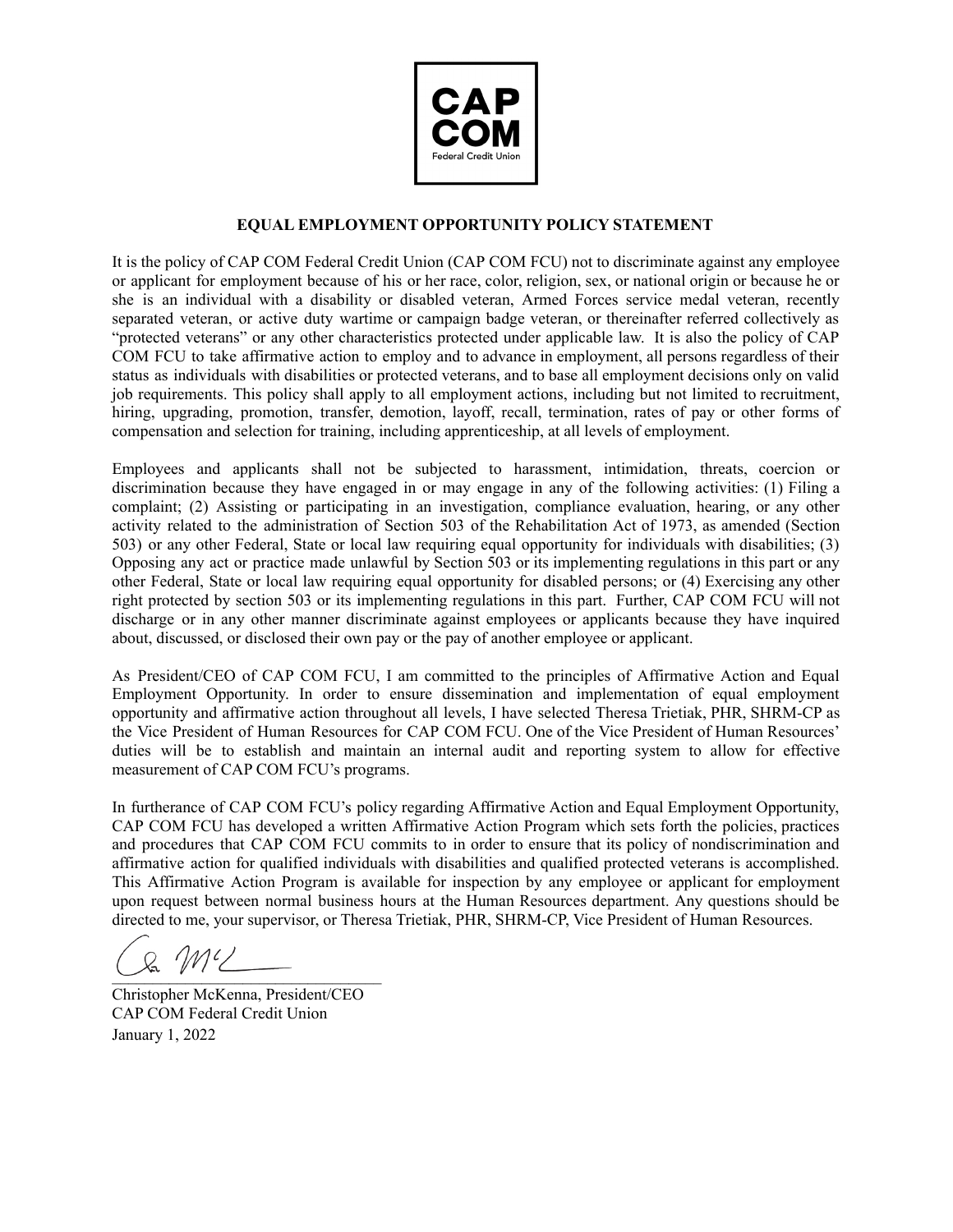

## **EQUAL EMPLOYMENT OPPORTUNITY POLICY STATEMENT**

It is the policy of CAP COM Federal Credit Union (CAP COM FCU) not to discriminate against any employee or applicant for employment because of his or her race, color, religion, sex, or national origin or because he or she is an individual with a disability or disabled veteran, Armed Forces service medal veteran, recently separated veteran, or active duty wartime or campaign badge veteran, or thereinafter referred collectively as "protected veterans" or any other characteristics protected under applicable law. It is also the policy of CAP COM FCU to take affirmative action to employ and to advance in employment, all persons regardless of their status as individuals with disabilities or protected veterans, and to base all employment decisions only on valid job requirements. This policy shall apply to all employment actions, including but not limited to recruitment, hiring, upgrading, promotion, transfer, demotion, layoff, recall, termination, rates of pay or other forms of compensation and selection for training, including apprenticeship, at all levels of employment.

Employees and applicants shall not be subjected to harassment, intimidation, threats, coercion or discrimination because they have engaged in or may engage in any of the following activities: (1) Filing a complaint; (2) Assisting or participating in an investigation, compliance evaluation, hearing, or any other activity related to the administration of Section 503 of the Rehabilitation Act of 1973, as amended (Section 503) or any other Federal, State or local law requiring equal opportunity for individuals with disabilities; (3) Opposing any act or practice made unlawful by Section 503 or its implementing regulations in this part or any other Federal, State or local law requiring equal opportunity for disabled persons; or (4) Exercising any other right protected by section 503 or its implementing regulations in this part. Further, CAP COM FCU will not discharge or in any other manner discriminate against employees or applicants because they have inquired about, discussed, or disclosed their own pay or the pay of another employee or applicant.

As President/CEO of CAP COM FCU, I am committed to the principles of Affirmative Action and Equal Employment Opportunity. In order to ensure dissemination and implementation of equal employment opportunity and affirmative action throughout all levels, I have selected Theresa Trietiak, PHR, SHRM-CP as the Vice President of Human Resources for CAP COM FCU. One of the Vice President of Human Resources' duties will be to establish and maintain an internal audit and reporting system to allow for effective measurement of CAP COM FCU's programs.

In furtherance of CAP COM FCU's policy regarding Affirmative Action and Equal Employment Opportunity, CAP COM FCU has developed a written Affirmative Action Program which sets forth the policies, practices and procedures that CAP COM FCU commits to in order to ensure that its policy of nondiscrimination and affirmative action for qualified individuals with disabilities and qualified protected veterans is accomplished. This Affirmative Action Program is available for inspection by any employee or applicant for employment upon request between normal business hours at the Human Resources department. Any questions should be directed to me, your supervisor, or Theresa Trietiak, PHR, SHRM-CP, Vice President of Human Resources.

 $\mathcal{U}'$  $\cup$  we have  $\cup$ 

Christopher McKenna, President/CEO CAP COM Federal Credit Union January 1, 2022